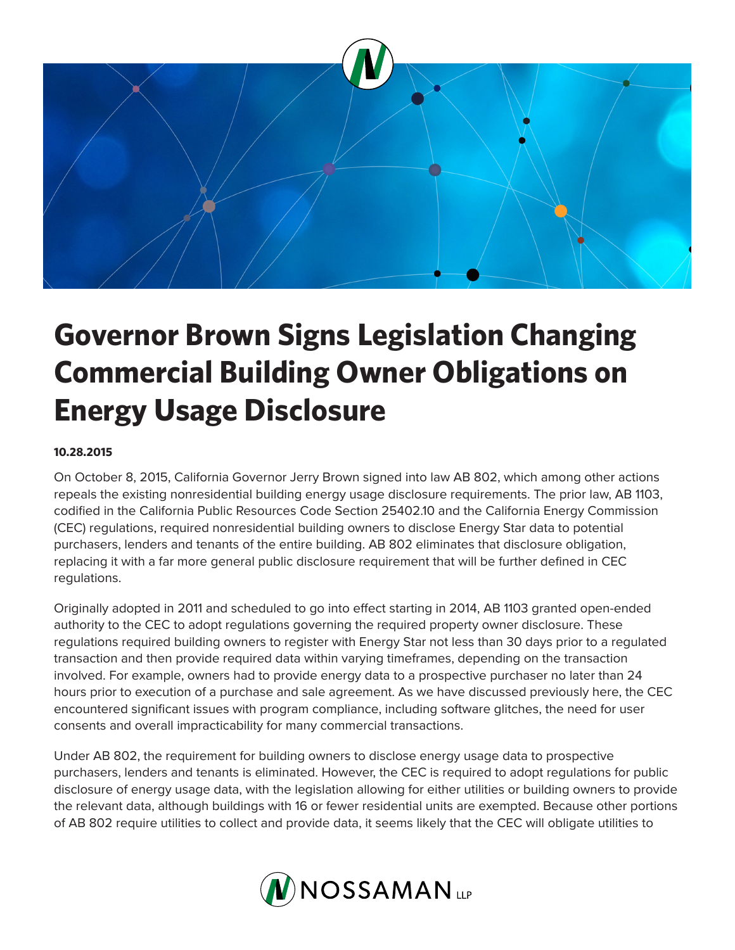

## **Governor Brown Signs Legislation Changing Commercial Building Owner Obligations on Energy Usage Disclosure**

## **10.28.2015**

On October 8, 2015, California Governor Jerry Brown signed into law AB 802, which among other actions repeals the existing nonresidential building energy usage disclosure requirements. The prior law, AB 1103, codified in the California Public Resources Code Section 25402.10 and the California Energy Commission (CEC) regulations, required nonresidential building owners to disclose Energy Star data to potential purchasers, lenders and tenants of the entire building. AB 802 eliminates that disclosure obligation, replacing it with a far more general public disclosure requirement that will be further defined in CEC regulations.

Originally adopted in 2011 and scheduled to go into effect starting in 2014, AB 1103 granted open-ended authority to the CEC to adopt regulations governing the required property owner disclosure. These regulations required building owners to register with Energy Star not less than 30 days prior to a regulated transaction and then provide required data within varying timeframes, depending on the transaction involved. For example, owners had to provide energy data to a prospective purchaser no later than 24 hours prior to execution of a purchase and sale agreement. As we have discussed previously here, the CEC encountered significant issues with program compliance, including software glitches, the need for user consents and overall impracticability for many commercial transactions.

Under AB 802, the requirement for building owners to disclose energy usage data to prospective purchasers, lenders and tenants is eliminated. However, the CEC is required to adopt regulations for public disclosure of energy usage data, with the legislation allowing for either utilities or building owners to provide the relevant data, although buildings with 16 or fewer residential units are exempted. Because other portions of AB 802 require utilities to collect and provide data, it seems likely that the CEC will obligate utilities to